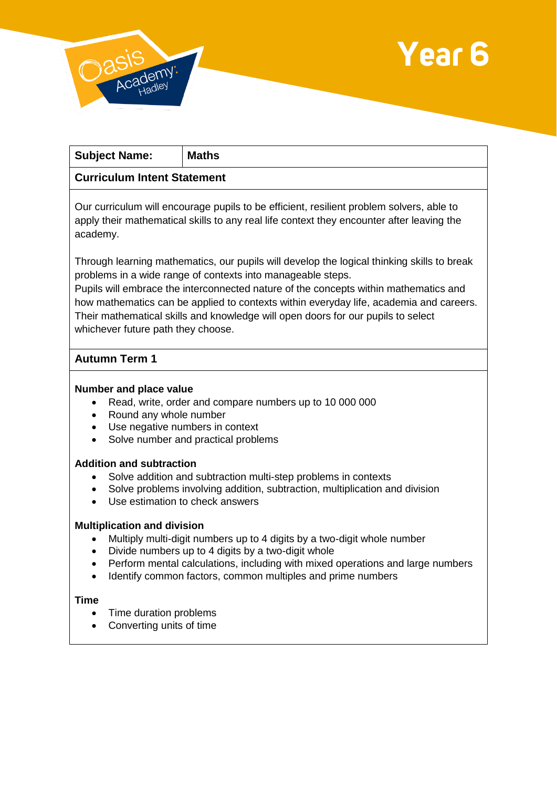



٦

| <b>Subject Name:</b>                                                                                                                                                                                                                                                                                                                        | <b>Maths</b> |
|---------------------------------------------------------------------------------------------------------------------------------------------------------------------------------------------------------------------------------------------------------------------------------------------------------------------------------------------|--------------|
| <b>Curriculum Intent Statement</b>                                                                                                                                                                                                                                                                                                          |              |
| Our curriculum will encourage pupils to be efficient, resilient problem solvers, able to<br>apply their mathematical skills to any real life context they encounter after leaving the<br>academy.                                                                                                                                           |              |
| Through learning mathematics, our pupils will develop the logical thinking skills to break<br>problems in a wide range of contexts into manageable steps.<br>Pupils will embrace the interconnected nature of the concepts within mathematics and<br>how mathematics can be applied to contexts within everyday life, academia and careers. |              |

Their mathematical skills and knowledge will open doors for our pupils to select whichever future path they choose.

# **Autumn Term 1**

## **Number and place value**

- Read, write, order and compare numbers up to 10 000 000
- Round any whole number
- Use negative numbers in context
- Solve number and practical problems

## **Addition and subtraction**

- Solve addition and subtraction multi-step problems in contexts
- Solve problems involving addition, subtraction, multiplication and division
- Use estimation to check answers

## **Multiplication and division**

- Multiply multi-digit numbers up to 4 digits by a two-digit whole number
- Divide numbers up to 4 digits by a two-digit whole
- Perform mental calculations, including with mixed operations and large numbers
- Identify common factors, common multiples and prime numbers

## **Time**

- Time duration problems
- Converting units of time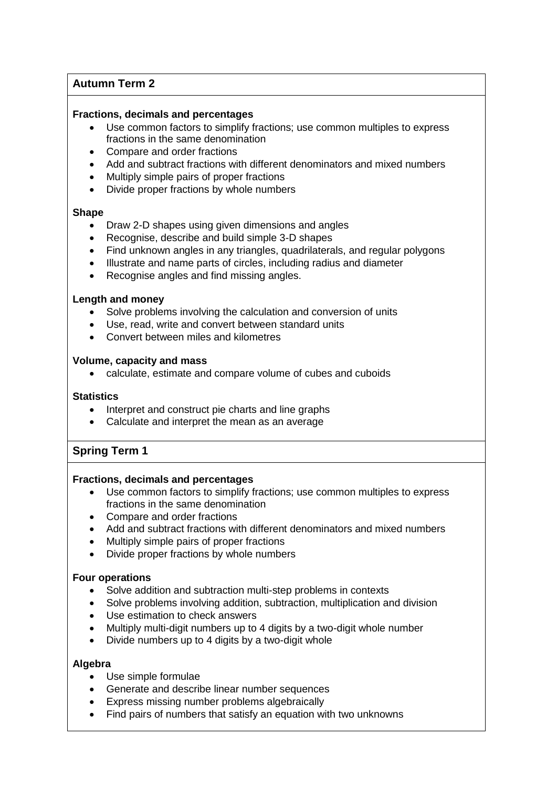# **Autumn Term 2**

#### **Fractions, decimals and percentages**

- Use common factors to simplify fractions; use common multiples to express fractions in the same denomination
- Compare and order fractions
- Add and subtract fractions with different denominators and mixed numbers
- Multiply simple pairs of proper fractions
- Divide proper fractions by whole numbers

## **Shape**

- Draw 2-D shapes using given dimensions and angles
- Recognise, describe and build simple 3-D shapes
- Find unknown angles in any triangles, quadrilaterals, and regular polygons
- Illustrate and name parts of circles, including radius and diameter
- Recognise angles and find missing angles.

## **Length and money**

- Solve problems involving the calculation and conversion of units
- Use, read, write and convert between standard units
- Convert between miles and kilometres

#### **Volume, capacity and mass**

calculate, estimate and compare volume of cubes and cuboids

## **Statistics**

- Interpret and construct pie charts and line graphs
- Calculate and interpret the mean as an average

## **Spring Term 1**

## **Fractions, decimals and percentages**

- Use common factors to simplify fractions; use common multiples to express fractions in the same denomination
- Compare and order fractions
- Add and subtract fractions with different denominators and mixed numbers
- Multiply simple pairs of proper fractions
- Divide proper fractions by whole numbers

## **Four operations**

- Solve addition and subtraction multi-step problems in contexts
- Solve problems involving addition, subtraction, multiplication and division
- Use estimation to check answers
- Multiply multi-digit numbers up to 4 digits by a two-digit whole number
- Divide numbers up to 4 digits by a two-digit whole

## **Algebra**

- Use simple formulae
- Generate and describe linear number sequences
- Express missing number problems algebraically
- Find pairs of numbers that satisfy an equation with two unknowns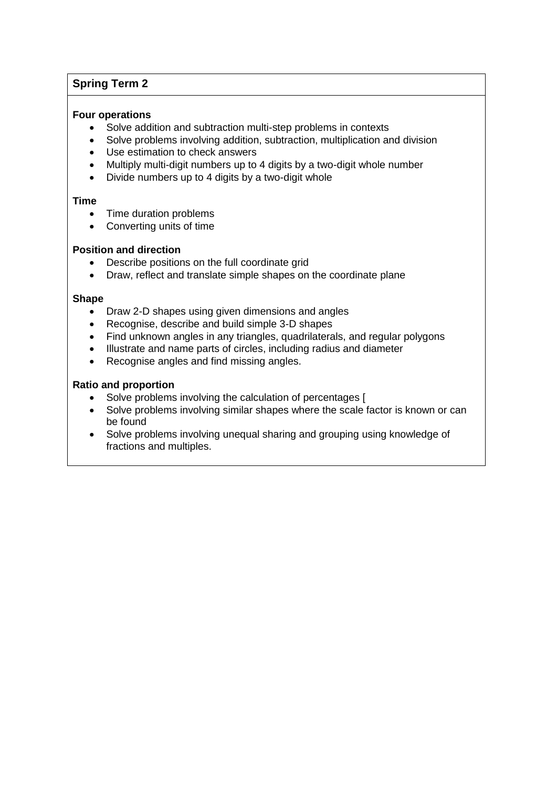# **Spring Term 2**

## **Four operations**

- Solve addition and subtraction multi-step problems in contexts
- Solve problems involving addition, subtraction, multiplication and division
- Use estimation to check answers
- Multiply multi-digit numbers up to 4 digits by a two-digit whole number
- Divide numbers up to 4 digits by a two-digit whole

#### **Time**

- Time duration problems
- Converting units of time

## **Position and direction**

- Describe positions on the full coordinate grid
- Draw, reflect and translate simple shapes on the coordinate plane

#### **Shape**

- Draw 2-D shapes using given dimensions and angles
- Recognise, describe and build simple 3-D shapes
- Find unknown angles in any triangles, quadrilaterals, and regular polygons
- Illustrate and name parts of circles, including radius and diameter
- Recognise angles and find missing angles.

## **Ratio and proportion**

- Solve problems involving the calculation of percentages [
- Solve problems involving similar shapes where the scale factor is known or can be found
- Solve problems involving unequal sharing and grouping using knowledge of fractions and multiples.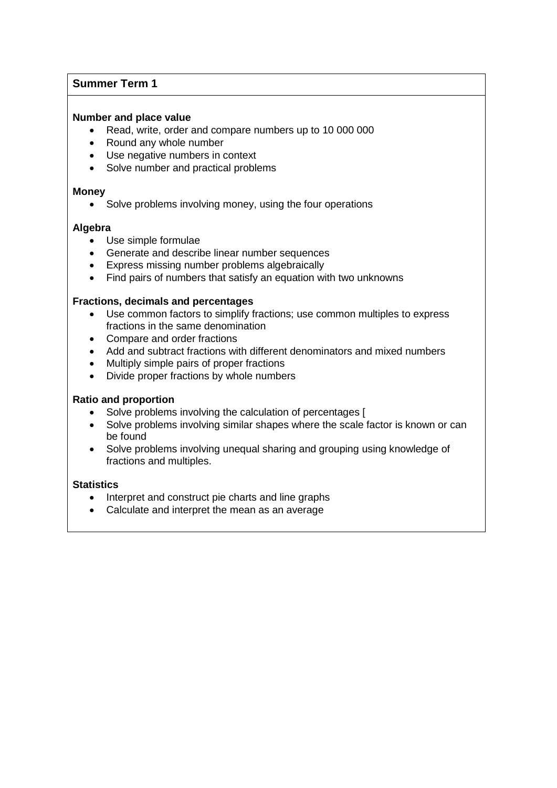# **Summer Term 1**

## **Number and place value**

- Read, write, order and compare numbers up to 10 000 000
- Round any whole number
- Use negative numbers in context
- Solve number and practical problems

#### **Money**

Solve problems involving money, using the four operations

## **Algebra**

- Use simple formulae
- Generate and describe linear number sequences
- Express missing number problems algebraically
- Find pairs of numbers that satisfy an equation with two unknowns

#### **Fractions, decimals and percentages**

- Use common factors to simplify fractions; use common multiples to express fractions in the same denomination
- Compare and order fractions
- Add and subtract fractions with different denominators and mixed numbers
- Multiply simple pairs of proper fractions
- Divide proper fractions by whole numbers

#### **Ratio and proportion**

- Solve problems involving the calculation of percentages [
- Solve problems involving similar shapes where the scale factor is known or can be found
- Solve problems involving unequal sharing and grouping using knowledge of fractions and multiples.

#### **Statistics**

- Interpret and construct pie charts and line graphs
- Calculate and interpret the mean as an average